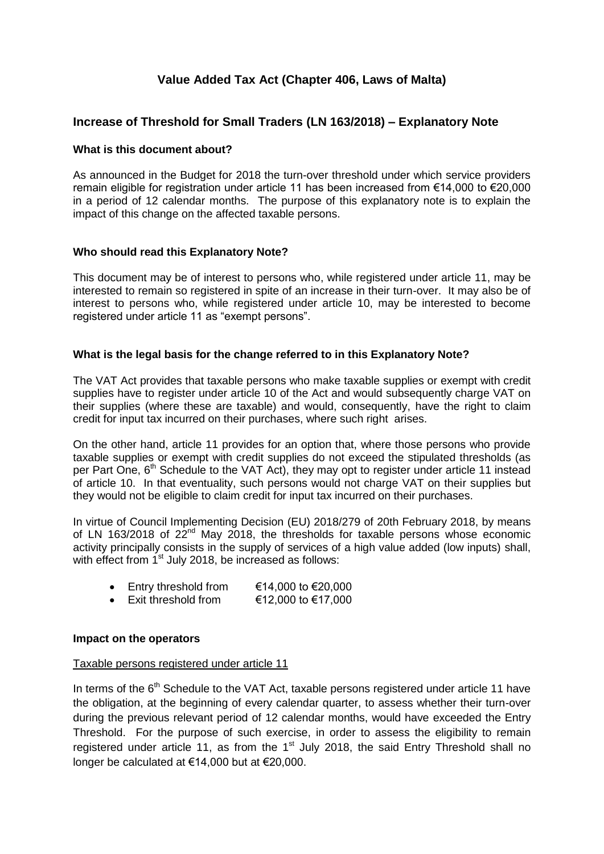# **Value Added Tax Act (Chapter 406, Laws of Malta)**

# **Increase of Threshold for Small Traders (LN 163/2018) – Explanatory Note**

#### **What is this document about?**

As announced in the Budget for 2018 the turn-over threshold under which service providers remain eligible for registration under article 11 has been increased from €14,000 to €20,000 in a period of 12 calendar months. The purpose of this explanatory note is to explain the impact of this change on the affected taxable persons.

#### **Who should read this Explanatory Note?**

This document may be of interest to persons who, while registered under article 11, may be interested to remain so registered in spite of an increase in their turn-over. It may also be of interest to persons who, while registered under article 10, may be interested to become registered under article 11 as "exempt persons".

#### **What is the legal basis for the change referred to in this Explanatory Note?**

The VAT Act provides that taxable persons who make taxable supplies or exempt with credit supplies have to register under article 10 of the Act and would subsequently charge VAT on their supplies (where these are taxable) and would, consequently, have the right to claim credit for input tax incurred on their purchases, where such right arises.

On the other hand, article 11 provides for an option that, where those persons who provide taxable supplies or exempt with credit supplies do not exceed the stipulated thresholds (as per Part One,  $6<sup>th</sup>$  Schedule to the VAT Act), they may opt to register under article 11 instead of article 10. In that eventuality, such persons would not charge VAT on their supplies but they would not be eligible to claim credit for input tax incurred on their purchases.

In virtue of Council Implementing Decision (EU) 2018/279 of 20th February 2018, by means of LN 163/2018 of 22<sup>nd</sup> May 2018, the thresholds for taxable persons whose economic activity principally consists in the supply of services of a high value added (low inputs) shall, with effect from 1<sup>st</sup> July 2018, be increased as follows:

- $\bullet$  Entry threshold from  $€14,000$  to  $€20,000$
- Exit threshold from  $€12,000$  to  $€17,000$

#### **Impact on the operators**

#### Taxable persons registered under article 11

In terms of the 6<sup>th</sup> Schedule to the VAT Act, taxable persons registered under article 11 have the obligation, at the beginning of every calendar quarter, to assess whether their turn-over during the previous relevant period of 12 calendar months, would have exceeded the Entry Threshold. For the purpose of such exercise, in order to assess the eligibility to remain registered under article 11, as from the  $1<sup>st</sup>$  July 2018, the said Entry Threshold shall no longer be calculated at €14,000 but at €20,000.